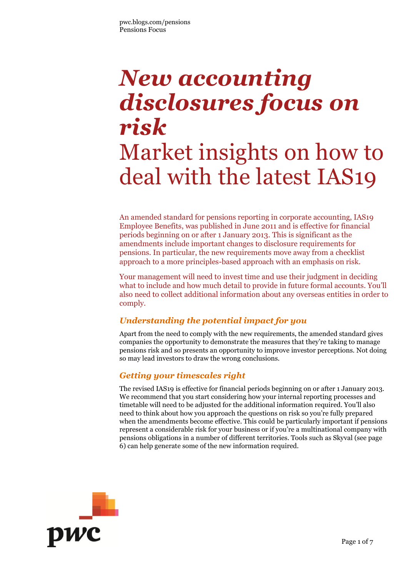# *New accounting disclosures focus on risk*  Market insights on how to deal with the latest IAS19

An amended standard for pensions reporting in corporate accounting, IAS19 Employee Benefits, was published in June 2011 and is effective for financial periods beginning on or after 1 January 2013. This is significant as the amendments include important changes to disclosure requirements for pensions. In particular, the new requirements move away from a checklist approach to a more principles-based approach with an emphasis on risk.

Your management will need to invest time and use their judgment in deciding what to include and how much detail to provide in future formal accounts. You'll also need to collect additional information about any overseas entities in order to comply.

### *Understanding the potential impact for you*

Apart from the need to comply with the new requirements, the amended standard gives companies the opportunity to demonstrate the measures that they're taking to manage pensions risk and so presents an opportunity to improve investor perceptions. Not doing so may lead investors to draw the wrong conclusions.

### *Getting your timescales right*

The revised IAS19 is effective for financial periods beginning on or after 1 January 2013. We recommend that you start considering how your internal reporting processes and timetable will need to be adjusted for the additional information required. You'll also need to think about how you approach the questions on risk so you're fully prepared when the amendments become effective. This could be particularly important if pensions represent a considerable risk for your business or if you're a multinational company with pensions obligations in a number of different territories. Tools such as Skyval (see page 6) can help generate some of the new information required.

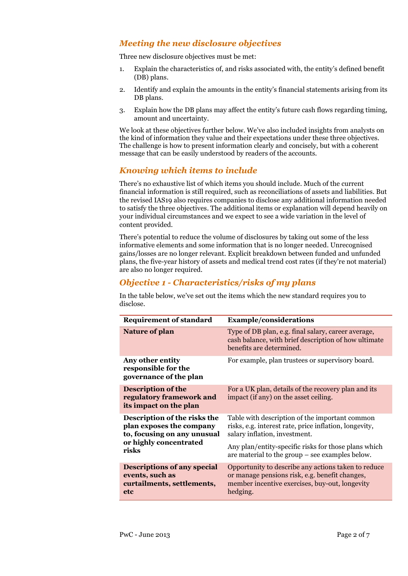### *Meeting the new disclosure objectives*

Three new disclosure objectives must be met:

- 1. Explain the characteristics of, and risks associated with, the entity's defined benefit (DB) plans.
- 2. Identify and explain the amounts in the entity's financial statements arising from its DB plans.
- 3. Explain how the DB plans may affect the entity's future cash flows regarding timing, amount and uncertainty.

We look at these objectives further below. We've also included insights from analysts on the kind of information they value and their expectations under these three objectives. The challenge is how to present information clearly and concisely, but with a coherent message that can be easily understood by readers of the accounts.

#### *Knowing which items to include*

There's no exhaustive list of which items you should include. Much of the current financial information is still required, such as reconciliations of assets and liabilities. But the revised IAS19 also requires companies to disclose any additional information needed to satisfy the three objectives. The additional items or explanation will depend heavily on your individual circumstances and we expect to see a wide variation in the level of content provided.

There's potential to reduce the volume of disclosures by taking out some of the less informative elements and some information that is no longer needed. Unrecognised gains/losses are no longer relevant. Explicit breakdown between funded and unfunded plans, the five-year history of assets and medical trend cost rates (if they're not material) are also no longer required.

#### *Objective 1 - Characteristics/risks of my plans*

In the table below, we've set out the items which the new standard requires you to disclose.

| <b>Requirement of standard</b>                                                             | <b>Example/considerations</b>                                                                                                                                       |  |
|--------------------------------------------------------------------------------------------|---------------------------------------------------------------------------------------------------------------------------------------------------------------------|--|
| <b>Nature of plan</b>                                                                      | Type of DB plan, e.g. final salary, career average,<br>cash balance, with brief description of how ultimate<br>benefits are determined.                             |  |
| Any other entity<br>responsible for the<br>governance of the plan                          | For example, plan trustees or supervisory board.                                                                                                                    |  |
| <b>Description of the</b><br>regulatory framework and<br>its impact on the plan            | For a UK plan, details of the recovery plan and its<br>impact (if any) on the asset ceiling.                                                                        |  |
| Description of the risks the<br>plan exposes the company<br>to, focusing on any unusual    | Table with description of the important common<br>risks, e.g. interest rate, price inflation, longevity,<br>salary inflation, investment.                           |  |
| or highly concentrated<br>risks                                                            | Any plan/entity-specific risks for those plans which<br>are material to the group $-$ see examples below.                                                           |  |
| <b>Descriptions of any special</b><br>events, such as<br>curtailments, settlements,<br>etc | Opportunity to describe any actions taken to reduce<br>or manage pensions risk, e.g. benefit changes,<br>member incentive exercises, buy-out, longevity<br>hedging. |  |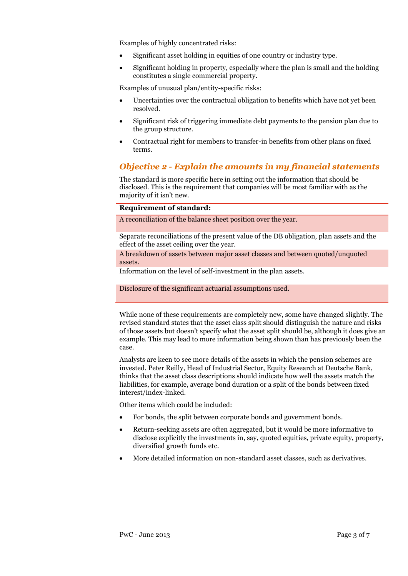Examples of highly concentrated risks:

- Significant asset holding in equities of one country or industry type.
- Significant holding in property, especially where the plan is small and the holding constitutes a single commercial property.

Examples of unusual plan/entity-specific risks:

- Uncertainties over the contractual obligation to benefits which have not yet been resolved.
- Significant risk of triggering immediate debt payments to the pension plan due to the group structure.
- Contractual right for members to transfer-in benefits from other plans on fixed terms.

#### *Objective 2 - Explain the amounts in my financial statements*

The standard is more specific here in setting out the information that should be disclosed. This is the requirement that companies will be most familiar with as the majority of it isn't new.

#### **Requirement of standard:**

A reconciliation of the balance sheet position over the year.

Separate reconciliations of the present value of the DB obligation, plan assets and the effect of the asset ceiling over the year.

A breakdown of assets between major asset classes and between quoted/unquoted assets.

Information on the level of self-investment in the plan assets.

Disclosure of the significant actuarial assumptions used.

While none of these requirements are completely new, some have changed slightly. The revised standard states that the asset class split should distinguish the nature and risks of those assets but doesn't specify what the asset split should be, although it does give an example. This may lead to more information being shown than has previously been the case.

Analysts are keen to see more details of the assets in which the pension schemes are invested. Peter Reilly, Head of Industrial Sector, Equity Research at Deutsche Bank, thinks that the asset class descriptions should indicate how well the assets match the liabilities, for example, average bond duration or a split of the bonds between fixed interest/index-linked.

Other items which could be included:

- For bonds, the split between corporate bonds and government bonds.
- Return-seeking assets are often aggregated, but it would be more informative to disclose explicitly the investments in, say, quoted equities, private equity, property, diversified growth funds etc.
- More detailed information on non-standard asset classes, such as derivatives.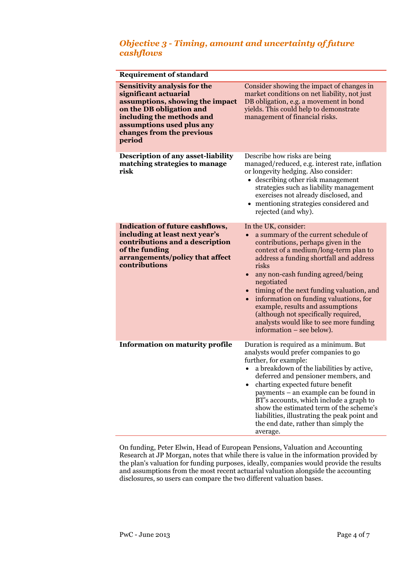#### *Objective 3 - Timing, amount and uncertainty of future cashflows*

| <b>Requirement of standard</b>                                                                                                                                                                                               |                                                                                                                                                                                                                                                                                                                                                                                                                                                                                                                            |  |
|------------------------------------------------------------------------------------------------------------------------------------------------------------------------------------------------------------------------------|----------------------------------------------------------------------------------------------------------------------------------------------------------------------------------------------------------------------------------------------------------------------------------------------------------------------------------------------------------------------------------------------------------------------------------------------------------------------------------------------------------------------------|--|
| <b>Sensitivity analysis for the</b><br>significant actuarial<br>assumptions, showing the impact<br>on the DB obligation and<br>including the methods and<br>assumptions used plus any<br>changes from the previous<br>period | Consider showing the impact of changes in<br>market conditions on net liability, not just<br>DB obligation, e.g. a movement in bond<br>yields. This could help to demonstrate<br>management of financial risks.                                                                                                                                                                                                                                                                                                            |  |
| <b>Description of any asset-liability</b><br>matching strategies to manage<br>risk                                                                                                                                           | Describe how risks are being<br>managed/reduced, e.g. interest rate, inflation<br>or longevity hedging. Also consider:<br>• describing other risk management<br>strategies such as liability management<br>exercises not already disclosed, and<br>mentioning strategies considered and<br>rejected (and why).                                                                                                                                                                                                             |  |
| <b>Indication of future cashflows,</b><br>including at least next year's<br>contributions and a description<br>of the funding<br>arrangements/policy that affect<br>contributions                                            | In the UK, consider:<br>a summary of the current schedule of<br>contributions, perhaps given in the<br>context of a medium/long-term plan to<br>address a funding shortfall and address<br>risks<br>any non-cash funding agreed/being<br>$\bullet$<br>negotiated<br>• timing of the next funding valuation, and<br>information on funding valuations, for<br>$\bullet$<br>example, results and assumptions<br>(although not specifically required,<br>analysts would like to see more funding<br>information – see below). |  |
| <b>Information on maturity profile</b>                                                                                                                                                                                       | Duration is required as a minimum. But<br>analysts would prefer companies to go<br>further, for example:<br>a breakdown of the liabilities by active,<br>deferred and pensioner members, and<br>charting expected future benefit<br>payments - an example can be found in<br>BT's accounts, which include a graph to<br>show the estimated term of the scheme's<br>liabilities, illustrating the peak point and<br>the end date, rather than simply the<br>average.                                                        |  |

On funding, Peter Elwin, Head of European Pensions, Valuation and Accounting Research at JP Morgan, notes that while there is value in the information provided by the plan's valuation for funding purposes, ideally, companies would provide the results and assumptions from the most recent actuarial valuation alongside the accounting disclosures, so users can compare the two different valuation bases.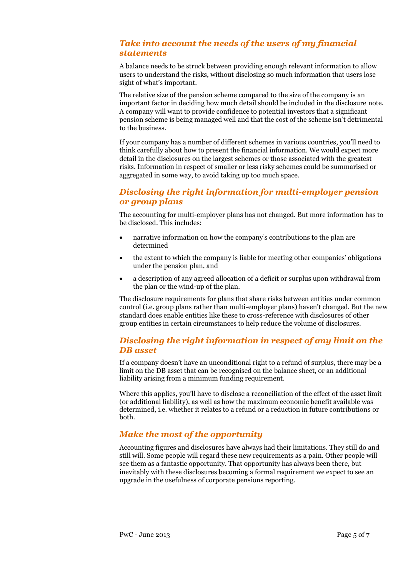#### *Take into account the needs of the users of my financial statements*

A balance needs to be struck between providing enough relevant information to allow users to understand the risks, without disclosing so much information that users lose sight of what's important.

The relative size of the pension scheme compared to the size of the company is an important factor in deciding how much detail should be included in the disclosure note. A company will want to provide confidence to potential investors that a significant pension scheme is being managed well and that the cost of the scheme isn't detrimental to the business.

If your company has a number of different schemes in various countries, you'll need to think carefully about how to present the financial information. We would expect more detail in the disclosures on the largest schemes or those associated with the greatest risks. Information in respect of smaller or less risky schemes could be summarised or aggregated in some way, to avoid taking up too much space.

#### *Disclosing the right information for multi-employer pension or group plans*

The accounting for multi-employer plans has not changed. But more information has to be disclosed. This includes:

- narrative information on how the company's contributions to the plan are determined
- the extent to which the company is liable for meeting other companies' obligations under the pension plan, and
- a description of any agreed allocation of a deficit or surplus upon withdrawal from the plan or the wind-up of the plan.

The disclosure requirements for plans that share risks between entities under common control (i.e. group plans rather than multi-employer plans) haven't changed. But the new standard does enable entities like these to cross-reference with disclosures of other group entities in certain circumstances to help reduce the volume of disclosures.

#### *Disclosing the right information in respect of any limit on the DB asset*

If a company doesn't have an unconditional right to a refund of surplus, there may be a limit on the DB asset that can be recognised on the balance sheet, or an additional liability arising from a minimum funding requirement.

Where this applies, you'll have to disclose a reconciliation of the effect of the asset limit (or additional liability), as well as how the maximum economic benefit available was determined, i.e. whether it relates to a refund or a reduction in future contributions or both.

#### *Make the most of the opportunity*

Accounting figures and disclosures have always had their limitations. They still do and still will. Some people will regard these new requirements as a pain. Other people will see them as a fantastic opportunity. That opportunity has always been there, but inevitably with these disclosures becoming a formal requirement we expect to see an upgrade in the usefulness of corporate pensions reporting.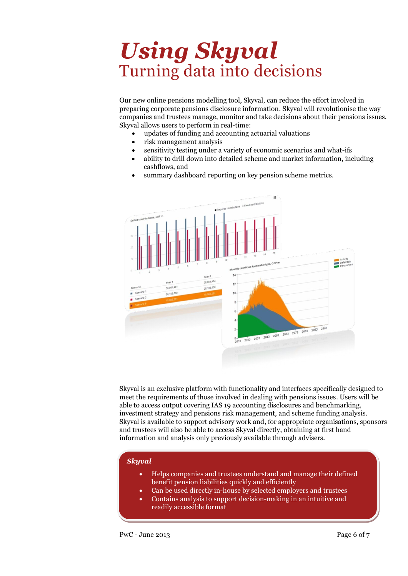## *Using Skyval* Turning data into decisions

Our new online pensions modelling tool, Skyval, can reduce the effort involved in preparing corporate pensions disclosure information. Skyval will revolutionise the way companies and trustees manage, monitor and take decisions about their pensions issues. Skyval allows users to perform in real-time:

- updates of funding and accounting actuarial valuations
- risk management analysis
- sensitivity testing under a variety of economic scenarios and what-ifs
- ability to drill down into detailed scheme and market information, including cashflows, and
- summary dashboard reporting on key pension scheme metrics.



Skyval is an exclusive platform with functionality and interfaces specifically designed to meet the requirements of those involved in dealing with pensions issues. Users will be able to access output covering IAS 19 accounting disclosures and benchmarking, investment strategy and pensions risk management, and scheme funding analysis. Skyval is available to support advisory work and, for appropriate organisations, sponsors and trustees will also be able to access Skyval directly, obtaining at first hand information and analysis only previously available through advisers.

#### *Skyval*

- Helps companies and trustees understand and manage their defined benefit pension liabilities quickly and efficiently
- Can be used directly in-house by selected employers and trustees
- *Find out more*  Contains analysis to support decision-making in an intuitive and readily accessible format